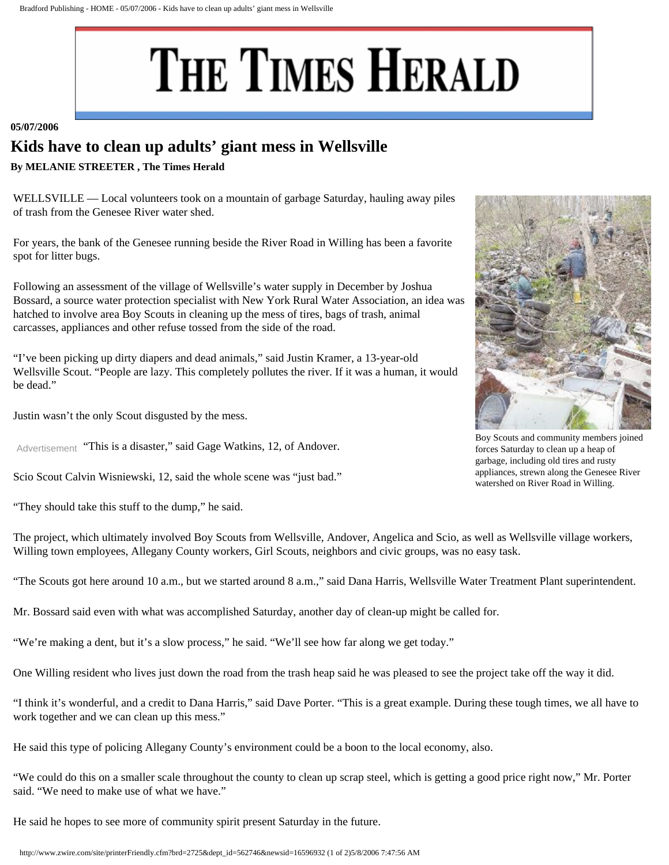## THE TIMES HERALD

## **05/07/2006**

## **Kids have to clean up adults' giant mess in Wellsville**

**By MELANIE STREETER , The Times Herald** 

WELLSVILLE — Local volunteers took on a mountain of garbage Saturday, hauling away piles of trash from the Genesee River water shed.

For years, the bank of the Genesee running beside the River Road in Willing has been a favorite spot for litter bugs.

Following an assessment of the village of Wellsville's water supply in December by Joshua Bossard, a source water protection specialist with New York Rural Water Association, an idea was hatched to involve area Boy Scouts in cleaning up the mess of tires, bags of trash, animal carcasses, appliances and other refuse tossed from the side of the road.

"I've been picking up dirty diapers and dead animals," said Justin Kramer, a 13-year-old Wellsville Scout. "People are lazy. This completely pollutes the river. If it was a human, it would be dead."

Justin wasn't the only Scout disgusted by the mess.

Advertisement "This is a disaster," said Gage Watkins, 12, of Andover.

Scio Scout Calvin Wisniewski, 12, said the whole scene was "just bad."

"They should take this stuff to the dump," he said.

The project, which ultimately involved Boy Scouts from Wellsville, Andover, Angelica and Scio, as well as Wellsville village workers, Willing town employees, Allegany County workers, Girl Scouts, neighbors and civic groups, was no easy task.

"The Scouts got here around 10 a.m., but we started around 8 a.m.," said Dana Harris, Wellsville Water Treatment Plant superintendent.

Mr. Bossard said even with what was accomplished Saturday, another day of clean-up might be called for.

"We're making a dent, but it's a slow process," he said. "We'll see how far along we get today."

One Willing resident who lives just down the road from the trash heap said he was pleased to see the project take off the way it did.

"I think it's wonderful, and a credit to Dana Harris," said Dave Porter. "This is a great example. During these tough times, we all have to work together and we can clean up this mess."

He said this type of policing Allegany County's environment could be a boon to the local economy, also.

"We could do this on a smaller scale throughout the county to clean up scrap steel, which is getting a good price right now," Mr. Porter said. "We need to make use of what we have."

He said he hopes to see more of community spirit present Saturday in the future.



Boy Scouts and community members joined forces Saturday to clean up a heap of garbage, including old tires and rusty appliances, strewn along the Genesee River watershed on River Road in Willing.